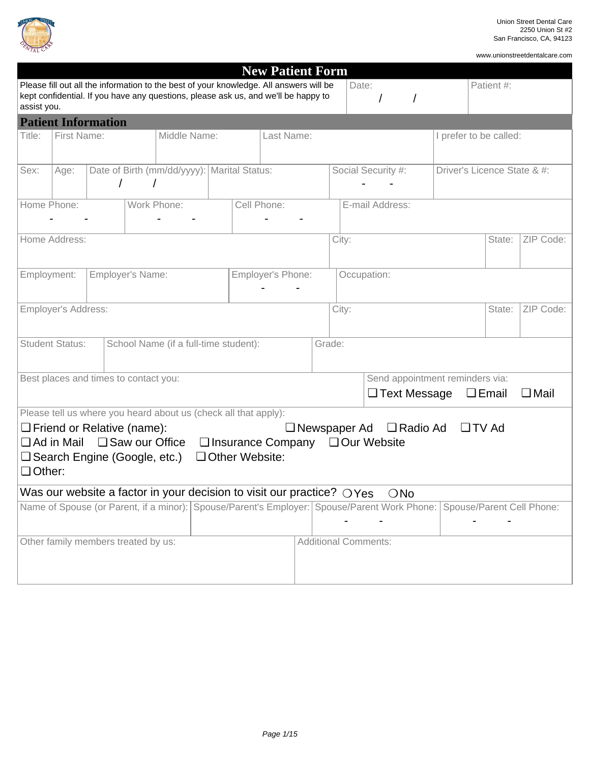

MN

 $\overline{\phantom{a}}$ 

| HAL                                                                 |                                                                           |                            |                                                                                                                                                                              |                |                              |  |                                                    |                             |              | www.unionstreetdentalcare.com |
|---------------------------------------------------------------------|---------------------------------------------------------------------------|----------------------------|------------------------------------------------------------------------------------------------------------------------------------------------------------------------------|----------------|------------------------------|--|----------------------------------------------------|-----------------------------|--------------|-------------------------------|
|                                                                     |                                                                           |                            |                                                                                                                                                                              |                | <b>New Patient Form</b>      |  |                                                    |                             |              |                               |
| assist you.                                                         |                                                                           |                            | Please fill out all the information to the best of your knowledge. All answers will be<br>kept confidential. If you have any questions, please ask us, and we'll be happy to |                |                              |  | Date:                                              |                             | Patient #:   |                               |
|                                                                     |                                                                           | <b>Patient Information</b> |                                                                                                                                                                              |                |                              |  |                                                    |                             |              |                               |
| Title:                                                              | First Name:                                                               |                            | Middle Name:                                                                                                                                                                 |                | Last Name:                   |  |                                                    | I prefer to be called:      |              |                               |
| Sex:                                                                | Age:                                                                      |                            | Date of Birth (mm/dd/yyyy): Marital Status:                                                                                                                                  |                |                              |  | Social Security #:                                 | Driver's Licence State & #: |              |                               |
| Home Phone:                                                         |                                                                           |                            | Work Phone:                                                                                                                                                                  |                | Cell Phone:                  |  | E-mail Address:                                    |                             |              |                               |
| Home Address:                                                       |                                                                           |                            |                                                                                                                                                                              |                | City:<br>State:              |  |                                                    | ZIP Code:                   |              |                               |
| Employer's Name:<br>Employer's Phone:<br>Occupation:<br>Employment: |                                                                           |                            |                                                                                                                                                                              |                |                              |  |                                                    |                             |              |                               |
| <b>Employer's Address:</b>                                          |                                                                           |                            |                                                                                                                                                                              |                | City:<br>ZIP Code:<br>State: |  |                                                    |                             |              |                               |
|                                                                     | <b>Student Status:</b><br>School Name (if a full-time student):<br>Grade: |                            |                                                                                                                                                                              |                |                              |  |                                                    |                             |              |                               |
|                                                                     |                                                                           |                            | Best places and times to contact you:                                                                                                                                        |                |                              |  | Send appointment reminders via:                    |                             |              |                               |
|                                                                     |                                                                           |                            |                                                                                                                                                                              |                |                              |  | $\square$ Text Message                             |                             | $\Box$ Email | $\square$ Mail                |
|                                                                     |                                                                           |                            | Please tell us where you heard about us (check all that apply):                                                                                                              |                |                              |  |                                                    |                             |              |                               |
| □ Other:                                                            | $\Box$ Ad in Mail                                                         |                            | $\Box$ Friend or Relative (name):<br>□ Saw our Office<br>$\Box$ Search Engine (Google, etc.)                                                                                 | Other Website: | □ Insurance Company          |  | □ Radio Ad<br>$\Box$ Newspaper Ad<br>□ Our Website |                             | $\Box$ TV Ad |                               |
|                                                                     |                                                                           |                            | Was our website a factor in your decision to visit our practice? $\bigcirc$ Yes                                                                                              |                |                              |  | ONo                                                |                             |              |                               |
|                                                                     |                                                                           |                            | Name of Spouse (or Parent, if a minor): Spouse/Parent's Employer: Spouse/Parent Work Phone: Spouse/Parent Cell Phone:                                                        |                |                              |  |                                                    |                             |              |                               |
|                                                                     |                                                                           |                            | Other family members treated by us:                                                                                                                                          |                |                              |  | <b>Additional Comments:</b>                        |                             |              |                               |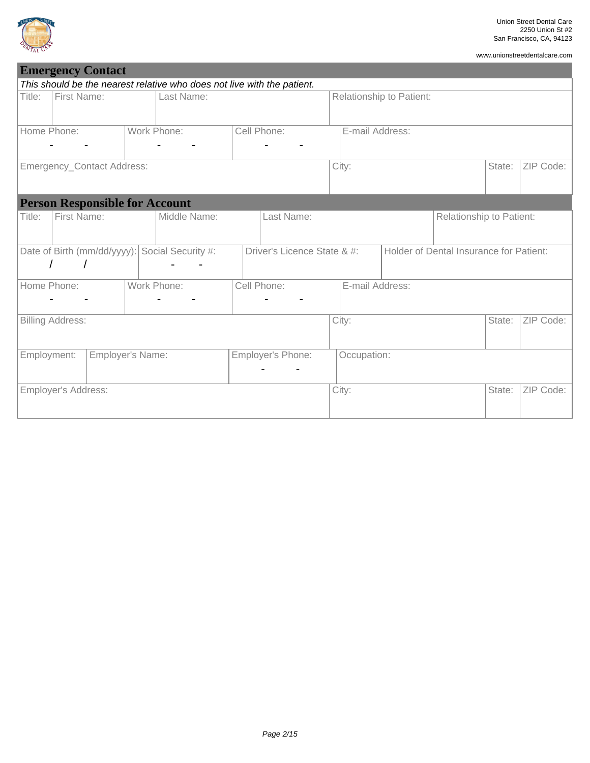

|                            | <b>Emergency Contact</b>                                                |             |              |             |                             |                 |                          |                                         |           |           |
|----------------------------|-------------------------------------------------------------------------|-------------|--------------|-------------|-----------------------------|-----------------|--------------------------|-----------------------------------------|-----------|-----------|
|                            | This should be the nearest relative who does not live with the patient. |             |              |             |                             |                 |                          |                                         |           |           |
| Title:                     | First Name:                                                             |             | Last Name:   |             |                             |                 | Relationship to Patient: |                                         |           |           |
| Home Phone:<br>Work Phone: |                                                                         |             |              | Cell Phone: |                             | E-mail Address: |                          |                                         |           |           |
| Emergency_Contact Address: |                                                                         |             |              |             | City:                       |                 |                          | State:                                  | ZIP Code: |           |
|                            | <b>Person Responsible for Account</b>                                   |             |              |             |                             |                 |                          |                                         |           |           |
| Title:                     | First Name:                                                             |             | Middle Name: |             | Last Name:                  |                 |                          | Relationship to Patient:                |           |           |
|                            | Date of Birth (mm/dd/yyyy): Social Security #:<br>$\prime$              |             |              |             | Driver's Licence State & #: |                 |                          | Holder of Dental Insurance for Patient: |           |           |
| Home Phone:                |                                                                         | Work Phone: |              |             | Cell Phone:                 | E-mail Address: |                          |                                         |           |           |
|                            | <b>Billing Address:</b>                                                 |             |              |             |                             | City:           |                          |                                         | State:    | ZIP Code: |
| Employment:                | Employer's Name:                                                        |             |              |             | Employer's Phone:           | Occupation:     |                          |                                         |           |           |
|                            | Employer's Address:                                                     |             |              |             |                             | City:           |                          |                                         | State:    | ZIP Code: |
|                            |                                                                         |             |              |             |                             |                 |                          |                                         |           |           |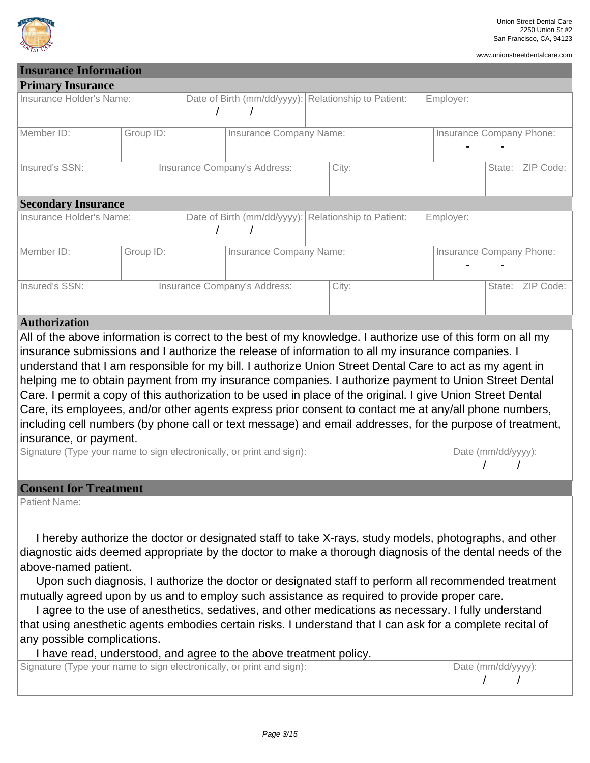

| www.unionstreetdentalcare.com |  |
|-------------------------------|--|
|-------------------------------|--|

| <b>Insurance Information</b>                                                                                |  |  |                                                              |       |                                                                                                                                                                    |        |                                                                                                                                                                                                                                                                           |
|-------------------------------------------------------------------------------------------------------------|--|--|--------------------------------------------------------------|-------|--------------------------------------------------------------------------------------------------------------------------------------------------------------------|--------|---------------------------------------------------------------------------------------------------------------------------------------------------------------------------------------------------------------------------------------------------------------------------|
| <b>Primary Insurance</b>                                                                                    |  |  |                                                              |       |                                                                                                                                                                    |        |                                                                                                                                                                                                                                                                           |
|                                                                                                             |  |  |                                                              |       | Employer:                                                                                                                                                          |        |                                                                                                                                                                                                                                                                           |
| Group ID:                                                                                                   |  |  |                                                              |       |                                                                                                                                                                    |        |                                                                                                                                                                                                                                                                           |
|                                                                                                             |  |  |                                                              | City: |                                                                                                                                                                    | State: | ZIP Code:                                                                                                                                                                                                                                                                 |
| <b>Secondary Insurance</b>                                                                                  |  |  |                                                              |       |                                                                                                                                                                    |        |                                                                                                                                                                                                                                                                           |
|                                                                                                             |  |  |                                                              |       | Employer:                                                                                                                                                          |        |                                                                                                                                                                                                                                                                           |
| Member ID:<br>Group ID:                                                                                     |  |  |                                                              |       |                                                                                                                                                                    |        |                                                                                                                                                                                                                                                                           |
|                                                                                                             |  |  |                                                              | City: |                                                                                                                                                                    | State: | ZIP Code:                                                                                                                                                                                                                                                                 |
| <b>Authorization</b>                                                                                        |  |  |                                                              |       |                                                                                                                                                                    |        |                                                                                                                                                                                                                                                                           |
| All of the above information is correct to the best of my knowledge. I authorize use of this form on all my |  |  |                                                              |       |                                                                                                                                                                    |        |                                                                                                                                                                                                                                                                           |
| insurance submissions and I authorize the release of information to all my insurance companies. I           |  |  |                                                              |       |                                                                                                                                                                    |        |                                                                                                                                                                                                                                                                           |
| understand that I am responsible for my bill. I authorize Union Street Dental Care to act as my agent in    |  |  |                                                              |       |                                                                                                                                                                    |        |                                                                                                                                                                                                                                                                           |
|                                                                                                             |  |  |                                                              |       |                                                                                                                                                                    |        |                                                                                                                                                                                                                                                                           |
|                                                                                                             |  |  | Insurance Company's Address:<br>Insurance Company's Address: |       | Date of Birth (mm/dd/yyyy): Relationship to Patient:<br>Insurance Company Name:<br>Date of Birth (mm/dd/yyyy): Relationship to Patient:<br>Insurance Company Name: |        | Insurance Company Phone:<br>Insurance Company Phone:<br>helping me to obtain payment from my insurance companies. I authorize payment to Union Street Dental<br>Care I permit a copy of this authorization to be used in place of the original I give Union Street Dental |

noiping me to obtain payment from my instituted companies. I dationze payment to onion ottect bent<br>Care. I permit a copy of this authorization to be used in place of the original. I give Union Street Dental Sare, its employees, and/or other agents express prior consent to contact me at any/all phone numbers, including cell numbers (by phone call or text message) and email addresses, for the purpose of treatment, 21 insurance, or payment.  $\ddot{\phantom{2}}$ م نان<br>موجو essage) and email addresses, for the purpose of ee ie i  $\overline{\phantom{a}}$ r agents express prior consent to contact me at any/all phone r they message) and email addresses for the nurnose of  $\cdot$   $\circ$  $\frac{1}{\sqrt{2}}$ 

2002

2010 2009

n Barance, or payment:<br>Signature (Type your name to sign electronically, or print and sign): Date (mm/dd/yyyy):  $\overline{a}$  $\frac{1}{200}$  $\overline{a}$  $\overline{\mathsf{v}}$  or print and

#### **Consent for Treatment**

Patient Name:

I hereby authorize the doctor or designated staff to take X-rays, study models, photographs, and other diagnostic aids deemed appropriate by the doctor to make a thorough diagnosis of the dental needs of the above-named patient. 31 →<br>1997 tr  $10$  to make a thorough diagnosis of the defital fit וס,<br>י gnated staff to take X-rays, study models, photographs, and othe the doctor to make a thorough diagnosis of the dental net LA e dental needs of t

above-named patient.<br>Upon such diagnosis, I authorize the doctor or designated staff to perform all recommended treatment mutually agreed upon by us and to employ such assistance as required to provide proper care. icu<br>.  $\overline{5}$ . doctor or designated staff to perform all recommended treatmer loy such assistance as required to provide proper care.

I agree to the use of anesthetics, sedatives, and other medications as necessary. I fully understand that using anesthetic agents embodies certain risks. I understand that I can ask for a complete recital of any possible complications. ilishs. I driderstand that I can ask for a complete nut<br>T latives, and other medications as necessary. I fully understand certain risks. I understand that I can ask for a complete media<br>M complete recital of

I have read, understood, and agree to the above treatment policy.

Signature (Type your name to sign electronically, or print and sign): <br>Signature (Type your name to sign electronically, or print and sign): Date (mm/dd/yyyy): y, or print and

25

17 18

16

01

2016

01

/ /

2016 2017

mac

HI IA

01 02

01 02

MI

1987

1995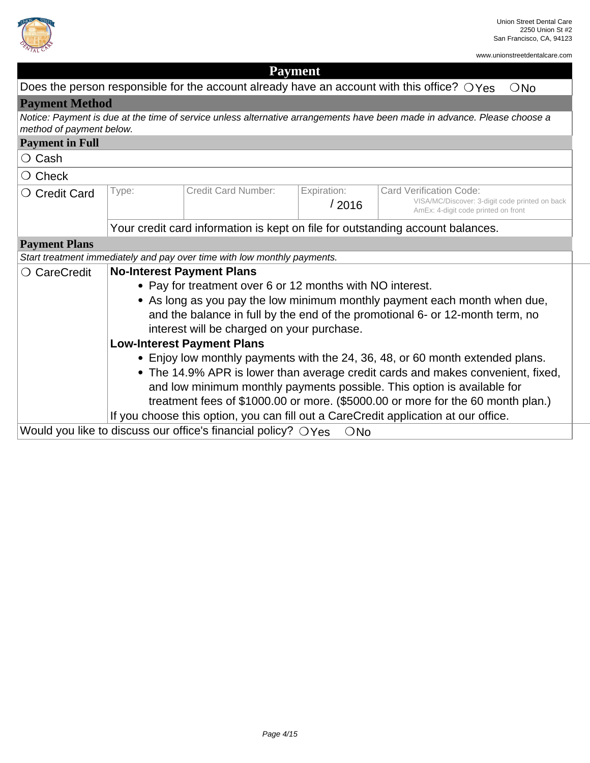

|                                                                                                                                                                                                                                                                                                                                                                                                                                  |                                                                                                                                                                                                                                                                                                                                                                                                                                 |                                                                          | <b>Payment</b>       |                                                                                                                          |  |  |
|----------------------------------------------------------------------------------------------------------------------------------------------------------------------------------------------------------------------------------------------------------------------------------------------------------------------------------------------------------------------------------------------------------------------------------|---------------------------------------------------------------------------------------------------------------------------------------------------------------------------------------------------------------------------------------------------------------------------------------------------------------------------------------------------------------------------------------------------------------------------------|--------------------------------------------------------------------------|----------------------|--------------------------------------------------------------------------------------------------------------------------|--|--|
|                                                                                                                                                                                                                                                                                                                                                                                                                                  |                                                                                                                                                                                                                                                                                                                                                                                                                                 |                                                                          |                      | Does the person responsible for the account already have an account with this office? $\bigcirc$ Yes<br>$\bigcirc$ No    |  |  |
| <b>Payment Method</b>                                                                                                                                                                                                                                                                                                                                                                                                            |                                                                                                                                                                                                                                                                                                                                                                                                                                 |                                                                          |                      |                                                                                                                          |  |  |
|                                                                                                                                                                                                                                                                                                                                                                                                                                  |                                                                                                                                                                                                                                                                                                                                                                                                                                 |                                                                          |                      | Notice: Payment is due at the time of service unless alternative arrangements have been made in advance. Please choose a |  |  |
| method of payment below.                                                                                                                                                                                                                                                                                                                                                                                                         |                                                                                                                                                                                                                                                                                                                                                                                                                                 |                                                                          |                      |                                                                                                                          |  |  |
| <b>Payment in Full</b>                                                                                                                                                                                                                                                                                                                                                                                                           |                                                                                                                                                                                                                                                                                                                                                                                                                                 |                                                                          |                      |                                                                                                                          |  |  |
| ○ Cash                                                                                                                                                                                                                                                                                                                                                                                                                           |                                                                                                                                                                                                                                                                                                                                                                                                                                 |                                                                          |                      |                                                                                                                          |  |  |
| $\bigcirc$ Check                                                                                                                                                                                                                                                                                                                                                                                                                 |                                                                                                                                                                                                                                                                                                                                                                                                                                 |                                                                          |                      |                                                                                                                          |  |  |
| O Credit Card                                                                                                                                                                                                                                                                                                                                                                                                                    | Type:                                                                                                                                                                                                                                                                                                                                                                                                                           | <b>Credit Card Number:</b>                                               | Expiration:<br>/2016 | <b>Card Verification Code:</b><br>VISA/MC/Discover: 3-digit code printed on back<br>AmEx: 4-digit code printed on front  |  |  |
|                                                                                                                                                                                                                                                                                                                                                                                                                                  | Your credit card information is kept on file for outstanding account balances.                                                                                                                                                                                                                                                                                                                                                  |                                                                          |                      |                                                                                                                          |  |  |
| <b>Payment Plans</b>                                                                                                                                                                                                                                                                                                                                                                                                             |                                                                                                                                                                                                                                                                                                                                                                                                                                 |                                                                          |                      |                                                                                                                          |  |  |
|                                                                                                                                                                                                                                                                                                                                                                                                                                  |                                                                                                                                                                                                                                                                                                                                                                                                                                 | Start treatment immediately and pay over time with low monthly payments. |                      |                                                                                                                          |  |  |
| O CareCredit                                                                                                                                                                                                                                                                                                                                                                                                                     | <b>No-Interest Payment Plans</b><br>• Pay for treatment over 6 or 12 months with NO interest.<br>• As long as you pay the low minimum monthly payment each month when due,<br>and the balance in full by the end of the promotional 6- or 12-month term, no<br>interest will be charged on your purchase.<br><b>Low-Interest Payment Plans</b><br>• Enjoy low monthly payments with the 24, 36, 48, or 60 month extended plans. |                                                                          |                      |                                                                                                                          |  |  |
| • The 14.9% APR is lower than average credit cards and makes convenient, fixed,<br>and low minimum monthly payments possible. This option is available for<br>treatment fees of \$1000.00 or more. (\$5000.00 or more for the 60 month plan.)<br>If you choose this option, you can fill out a CareCredit application at our office.<br>Would you like to discuss our office's financial policy? $\bigcirc$ Yes<br>$\bigcirc$ No |                                                                                                                                                                                                                                                                                                                                                                                                                                 |                                                                          |                      |                                                                                                                          |  |  |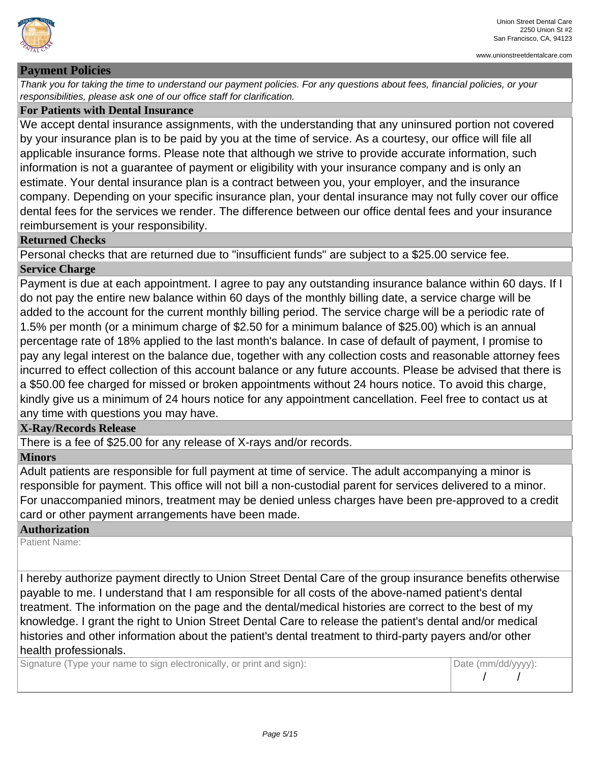

# **Payment Policies**

Thank you for taking the time to understand our payment policies. For any questions about fees, financial policies, or your responsibilities, please ask one of our office staff for clarification.

### **For Patients with Dental Insurance**

We accept dental insurance assignments, with the understanding that any uninsured portion not covered by your insurance plan is to be paid by you at the time of service. As a courtesy, our office will file all applicable insurance forms. Please note that although we strive to provide accurate information, such information is not a guarantee of payment or eligibility with your insurance company and is only an estimate. Your dental insurance plan is a contract between you, your employer, and the insurance company. Depending on your specific insurance plan, your dental insurance may not fully cover our office dental fees for the services we render. The difference between our office dental fees and your insurance reimbursement is your responsibility.

### **Returned Checks**

Personal checks that are returned due to "insufficient funds" are subject to a \$25.00 service fee. **Service Charge**

Payment is due at each appointment. I agree to pay any outstanding insurance balance within 60 days. If I do not pay the entire new balance within 60 days of the monthly billing date, a service charge will be added to the account for the current monthly billing period. The service charge will be a periodic rate of 1.5% per month (or a minimum charge of \$2.50 for a minimum balance of \$25.00) which is an annual percentage rate of 18% applied to the last month's balance. In case of default of payment, I promise to pay any legal interest on the balance due, together with any collection costs and reasonable attorney fees incurred to effect collection of this account balance or any future accounts. Please be advised that there is a \$50.00 fee charged for missed or broken appointments without 24 hours notice. To avoid this charge, kindly give us a minimum of 24 hours notice for any appointment cancellation. Feel free to contact us at any time with questions you may have.

## **X-Ray/Records Release**

There is a fee of \$25.00 for any release of X-rays and/or records.

### **Minors**

Adult patients are responsible for full payment at time of service. The adult accompanying a minor is responsible for payment. This office will not bill a non-custodial parent for services delivered to a minor. For unaccompanied minors, treatment may be denied unless charges have been pre-approved to a credit card or other payment arrangements have been made.

### **Authorization**

Patient Name:

I hereby authorize payment directly to Union Street Dental Care of the group insurance benefits otherwise payable to me. I understand that I am responsible for all costs of the above-named patient's dental treatment. The information on the page and the dental/medical histories are correct to the best of my knowledge. I grant the right to Union Street Dental Care to release the patient's dental and/or medical histories and other information about the patient's dental treatment to third-party payers and/or other health professionals.

Signature (Type your name to sign electronically, or print and sign): Date (mm/dd/yyyy):

 $\overline{\phantom{0}}$ 

2016

 $\overline{\phantom{0}}$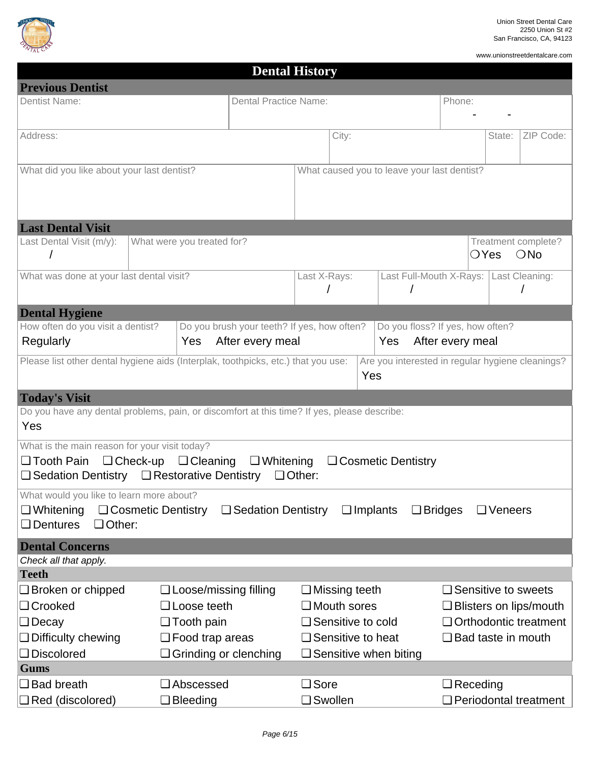

| www.unionstreetdentalcare.com |
|-------------------------------|
|-------------------------------|

|                                                                                             |                              | <b>Dental History</b>                       |               |                          |                                                  |                            |                |                          |
|---------------------------------------------------------------------------------------------|------------------------------|---------------------------------------------|---------------|--------------------------|--------------------------------------------------|----------------------------|----------------|--------------------------|
| <b>Previous Dentist</b>                                                                     |                              |                                             |               |                          |                                                  |                            |                |                          |
| Dentist Name:                                                                               |                              | <b>Dental Practice Name:</b>                |               |                          |                                                  | Phone:                     |                |                          |
|                                                                                             |                              |                                             |               |                          |                                                  |                            |                |                          |
| Address:                                                                                    |                              |                                             |               | City:                    |                                                  |                            | State:         | ZIP Code:                |
|                                                                                             |                              |                                             |               |                          |                                                  |                            |                |                          |
| What did you like about your last dentist?                                                  |                              |                                             |               |                          | What caused you to leave your last dentist?      |                            |                |                          |
|                                                                                             |                              |                                             |               |                          |                                                  |                            |                |                          |
|                                                                                             |                              |                                             |               |                          |                                                  |                            |                |                          |
| <b>Last Dental Visit</b>                                                                    |                              |                                             |               |                          |                                                  |                            |                |                          |
| Last Dental Visit (m/y):                                                                    | What were you treated for?   |                                             |               |                          |                                                  |                            |                | Treatment complete?      |
|                                                                                             |                              |                                             |               |                          |                                                  |                            | OYes ONo       |                          |
| What was done at your last dental visit?                                                    |                              |                                             | Last X-Rays:  |                          | Last Full-Mouth X-Rays:                          |                            |                | Last Cleaning:           |
|                                                                                             |                              |                                             |               |                          |                                                  |                            |                |                          |
| <b>Dental Hygiene</b>                                                                       |                              |                                             |               |                          |                                                  |                            |                |                          |
| How often do you visit a dentist?                                                           |                              | Do you brush your teeth? If yes, how often? |               |                          | Do you floss? If yes, how often?                 |                            |                |                          |
| Regularly                                                                                   | Yes                          | After every meal                            |               |                          | Yes                                              | After every meal           |                |                          |
| Please list other dental hygiene aids (Interplak, toothpicks, etc.) that you use:           |                              |                                             |               |                          | Are you interested in regular hygiene cleanings? |                            |                |                          |
|                                                                                             |                              |                                             |               | Yes                      |                                                  |                            |                |                          |
| <b>Today's Visit</b>                                                                        |                              |                                             |               |                          |                                                  |                            |                |                          |
| Do you have any dental problems, pain, or discomfort at this time? If yes, please describe: |                              |                                             |               |                          |                                                  |                            |                |                          |
| Yes                                                                                         |                              |                                             |               |                          |                                                  |                            |                |                          |
| What is the main reason for your visit today?                                               |                              |                                             |               |                          |                                                  |                            |                |                          |
| $\Box$ Tooth Pain $\Box$ Check-up $\Box$ Cleaning $\Box$ Whitening                          |                              |                                             |               |                          | □ Cosmetic Dentistry                             |                            |                |                          |
| $\Box$ Sedation Dentistry $\Box$ Restorative Dentistry                                      |                              |                                             | $\Box$ Other: |                          |                                                  |                            |                |                          |
| What would you like to learn more about?                                                    |                              |                                             |               |                          |                                                  |                            |                |                          |
| $\Box$ Whitening<br>□ Cosmetic Dentistry                                                    |                              | $\Box$ Sedation Dentistry                   |               | $\Box$ Implants          | $\Box$ Bridges                                   |                            | $\Box$ Veneers |                          |
| $\Box$ Other:<br>$\Box$ Dentures                                                            |                              |                                             |               |                          |                                                  |                            |                |                          |
| <b>Dental Concerns</b>                                                                      |                              |                                             |               |                          |                                                  |                            |                |                          |
| Check all that apply.                                                                       |                              |                                             |               |                          |                                                  |                            |                |                          |
| <b>Teeth</b>                                                                                |                              |                                             |               |                          |                                                  |                            |                |                          |
| $\Box$ Broken or chipped                                                                    | $\Box$ Loose/missing filling |                                             |               | $\Box$ Missing teeth     |                                                  | $\Box$ Sensitive to sweets |                |                          |
| □ Crooked                                                                                   | $\Box$ Loose teeth           |                                             |               | $\Box$ Mouth sores       |                                                  |                            |                | □ Blisters on lips/mouth |
| $\Box$ Decay                                                                                | $\Box$ Tooth pain            |                                             |               | $\Box$ Sensitive to cold |                                                  |                            |                | □ Orthodontic treatment  |
| $\Box$ Difficulty chewing                                                                   | $\Box$ Food trap areas       |                                             |               | $\Box$ Sensitive to heat |                                                  | $\Box$ Bad taste in mouth  |                |                          |
| □ Discolored                                                                                | $\Box$ Grinding or clenching |                                             |               |                          | $\Box$ Sensitive when biting                     |                            |                |                          |
| Gums                                                                                        |                              |                                             |               |                          |                                                  |                            |                |                          |
| $\Box$ Bad breath                                                                           | $\Box$ Abscessed             |                                             | $\Box$ Sore   |                          |                                                  | $\Box$ Receding            |                |                          |
| $\Box$ Red (discolored)                                                                     | $\Box$ Bleeding              |                                             | □ Swollen     |                          |                                                  |                            |                | □ Periodontal treatment  |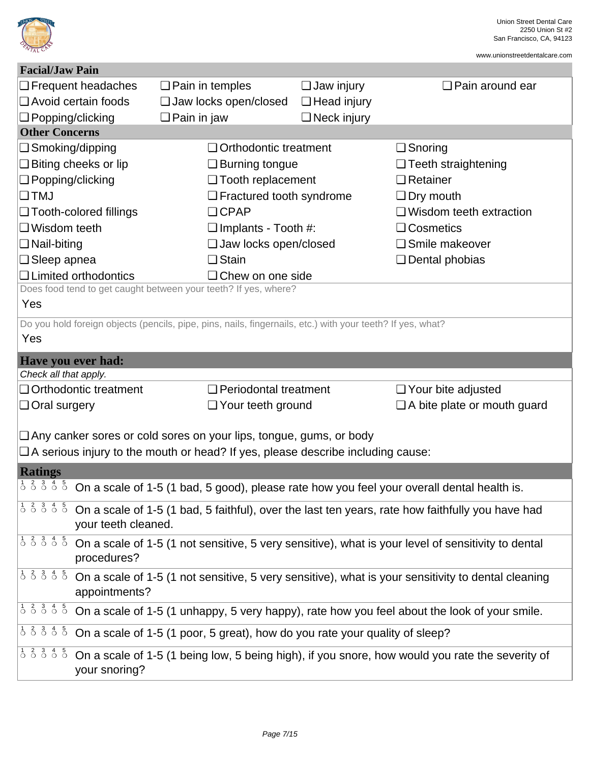

| <b>Facial/Jaw Pain</b>                                                                                                                                                                              |                                                                                                            |                    |                                                                                              |  |  |  |
|-----------------------------------------------------------------------------------------------------------------------------------------------------------------------------------------------------|------------------------------------------------------------------------------------------------------------|--------------------|----------------------------------------------------------------------------------------------|--|--|--|
| $\Box$ Frequent headaches                                                                                                                                                                           | $\Box$ Pain in temples                                                                                     | $\Box$ Jaw injury  | $\Box$ Pain around ear                                                                       |  |  |  |
| Avoid certain foods                                                                                                                                                                                 | $\Box$ Jaw locks open/closed                                                                               | $\Box$ Head injury |                                                                                              |  |  |  |
| □ Popping/clicking                                                                                                                                                                                  | $\Box$ Pain in jaw                                                                                         | $\Box$ Neck injury |                                                                                              |  |  |  |
| <b>Other Concerns</b>                                                                                                                                                                               |                                                                                                            |                    |                                                                                              |  |  |  |
| $\Box$ Smoking/dipping                                                                                                                                                                              | □ Orthodontic treatment                                                                                    |                    | $\Box$ Snoring                                                                               |  |  |  |
| $\Box$ Biting cheeks or lip                                                                                                                                                                         | $\Box$ Burning tongue                                                                                      |                    | $\Box$ Teeth straightening                                                                   |  |  |  |
| □ Popping/clicking                                                                                                                                                                                  | □ Tooth replacement                                                                                        |                    | $\Box$ Retainer                                                                              |  |  |  |
| $\square$ TMJ                                                                                                                                                                                       | $\Box$ Fractured tooth syndrome                                                                            |                    | $\Box$ Dry mouth                                                                             |  |  |  |
| □ Tooth-colored fillings                                                                                                                                                                            | $\Box$ CPAP                                                                                                |                    | $\Box$ Wisdom teeth extraction                                                               |  |  |  |
| $\Box$ Wisdom teeth                                                                                                                                                                                 | $\Box$ Implants - Tooth #:                                                                                 |                    | □ Cosmetics                                                                                  |  |  |  |
| $\Box$ Nail-biting                                                                                                                                                                                  | $\Box$ Jaw locks open/closed                                                                               |                    | □ Smile makeover                                                                             |  |  |  |
| $\square$ Sleep apnea                                                                                                                                                                               | $\Box$ Stain                                                                                               |                    | $\Box$ Dental phobias                                                                        |  |  |  |
| $\Box$ Limited orthodontics                                                                                                                                                                         | $\Box$ Chew on one side                                                                                    |                    |                                                                                              |  |  |  |
|                                                                                                                                                                                                     | Does food tend to get caught between your teeth? If yes, where?                                            |                    |                                                                                              |  |  |  |
| Yes                                                                                                                                                                                                 |                                                                                                            |                    |                                                                                              |  |  |  |
|                                                                                                                                                                                                     | Do you hold foreign objects (pencils, pipe, pins, nails, fingernails, etc.) with your teeth? If yes, what? |                    |                                                                                              |  |  |  |
| Yes                                                                                                                                                                                                 |                                                                                                            |                    |                                                                                              |  |  |  |
| Have you ever had:                                                                                                                                                                                  |                                                                                                            |                    |                                                                                              |  |  |  |
| Check all that apply.                                                                                                                                                                               |                                                                                                            |                    |                                                                                              |  |  |  |
| Orthodontic treatment                                                                                                                                                                               | $\Box$ Periodontal treatment                                                                               |                    | $\Box$ Your bite adjusted                                                                    |  |  |  |
| □ Oral surgery                                                                                                                                                                                      | $\Box$ Your teeth ground                                                                                   |                    | A bite plate or mouth guard                                                                  |  |  |  |
|                                                                                                                                                                                                     |                                                                                                            |                    |                                                                                              |  |  |  |
|                                                                                                                                                                                                     | $\Box$ Any canker sores or cold sores on your lips, tongue, gums, or body                                  |                    |                                                                                              |  |  |  |
| $\Box$ A serious injury to the mouth or head? If yes, please describe including cause:                                                                                                              |                                                                                                            |                    |                                                                                              |  |  |  |
| <b>Ratings</b>                                                                                                                                                                                      |                                                                                                            |                    |                                                                                              |  |  |  |
| $\begin{array}{ccccccccc}\n1 & 2 & 3 & 4 & 5 \\ 0 & 0 & 0 & 0 & 0\n\end{array}$<br>On a scale of 1-5 (1 bad, 5 good), please rate how you feel your overall dental health is.                       |                                                                                                            |                    |                                                                                              |  |  |  |
| $\frac{1}{5}$ $\frac{2}{5}$ $\frac{3}{5}$ $\frac{4}{5}$ On a scale of 1-5 (1 bad, 5 faithful), over the last ten years, rate how faithfully you have had<br>your teeth cleaned.                     |                                                                                                            |                    |                                                                                              |  |  |  |
| $\begin{smallmatrix} 1 & 2 & 3 & 4 & 5 \\ 0 & 0 & 0 & 0 & 0 \end{smallmatrix}$<br>On a scale of 1-5 (1 not sensitive, 5 very sensitive), what is your level of sensitivity to dental<br>procedures? |                                                                                                            |                    |                                                                                              |  |  |  |
| $\begin{smallmatrix}1&2&3&4&5\\0&0&0&0&0\end{smallmatrix}$<br>On a scale of 1-5 (1 not sensitive, 5 very sensitive), what is your sensitivity to dental cleaning<br>appointments?                   |                                                                                                            |                    |                                                                                              |  |  |  |
| $\begin{smallmatrix} 1 & 2 & 3 & 4 & 5 \\ 0 & 0 & 0 & 0 & 0 \end{smallmatrix}$                                                                                                                      |                                                                                                            |                    | On a scale of 1-5 (1 unhappy, 5 very happy), rate how you feel about the look of your smile. |  |  |  |
| $\begin{smallmatrix} 1 & 2 & 3 & 4 & 5 \\ 0 & 0 & 0 & 0 & 0 \end{smallmatrix}$                                                                                                                      | On a scale of 1-5 (1 poor, 5 great), how do you rate your quality of sleep?                                |                    |                                                                                              |  |  |  |
| $\begin{smallmatrix}1&2&3&4&5\\0&0&0&0&0\end{smallmatrix}$<br>On a scale of 1-5 (1 being low, 5 being high), if you snore, how would you rate the severity of<br>your snoring?                      |                                                                                                            |                    |                                                                                              |  |  |  |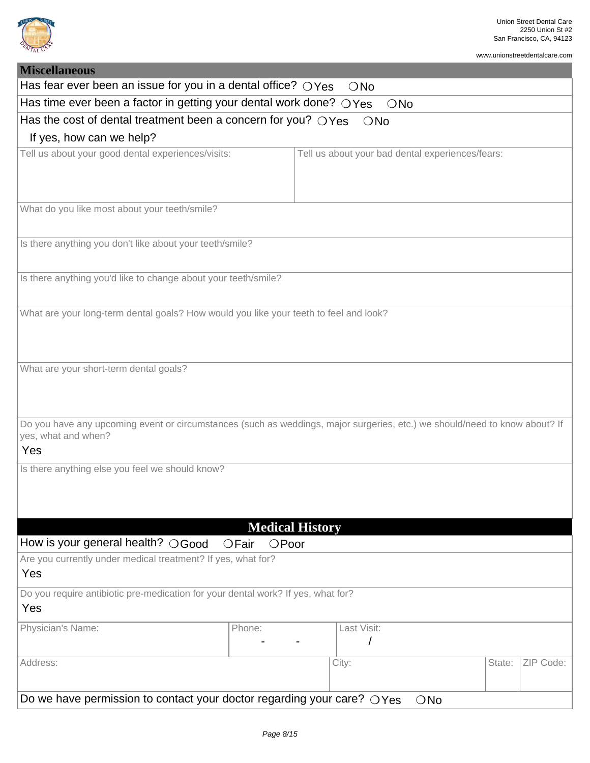

| <b>Miscellaneous</b>                                                                                                                                     | Has fear ever been an issue for you in a dental office? $\bigcirc$ Yes<br>ONo  |                                                  |                     |  |  |  |  |  |
|----------------------------------------------------------------------------------------------------------------------------------------------------------|--------------------------------------------------------------------------------|--------------------------------------------------|---------------------|--|--|--|--|--|
|                                                                                                                                                          | Has time ever been a factor in getting your dental work done? OYes<br>ONo      |                                                  |                     |  |  |  |  |  |
|                                                                                                                                                          | Has the cost of dental treatment been a concern for you? $\bigcirc$ Yes<br>ONo |                                                  |                     |  |  |  |  |  |
| If yes, how can we help?                                                                                                                                 |                                                                                |                                                  |                     |  |  |  |  |  |
| Tell us about your good dental experiences/visits:                                                                                                       |                                                                                | Tell us about your bad dental experiences/fears: |                     |  |  |  |  |  |
| What do you like most about your teeth/smile?                                                                                                            |                                                                                |                                                  |                     |  |  |  |  |  |
| Is there anything you don't like about your teeth/smile?                                                                                                 |                                                                                |                                                  |                     |  |  |  |  |  |
| Is there anything you'd like to change about your teeth/smile?                                                                                           |                                                                                |                                                  |                     |  |  |  |  |  |
| What are your long-term dental goals? How would you like your teeth to feel and look?                                                                    |                                                                                |                                                  |                     |  |  |  |  |  |
| What are your short-term dental goals?                                                                                                                   |                                                                                |                                                  |                     |  |  |  |  |  |
| Do you have any upcoming event or circumstances (such as weddings, major surgeries, etc.) we should/need to know about? If<br>yes, what and when?<br>Yes |                                                                                |                                                  |                     |  |  |  |  |  |
| Is there anything else you feel we should know?                                                                                                          |                                                                                |                                                  |                     |  |  |  |  |  |
| <b>Medical History</b><br>How is your general health? OGood                                                                                              |                                                                                |                                                  |                     |  |  |  |  |  |
| Are you currently under medical treatment? If yes, what for?<br>Yes                                                                                      | OFair<br>OPoor                                                                 |                                                  |                     |  |  |  |  |  |
| Do you require antibiotic pre-medication for your dental work? If yes, what for?<br>Yes                                                                  |                                                                                |                                                  |                     |  |  |  |  |  |
| Physician's Name:                                                                                                                                        | Phone:                                                                         | Last Visit:                                      |                     |  |  |  |  |  |
| Address:                                                                                                                                                 |                                                                                | City:                                            | State:<br>ZIP Code: |  |  |  |  |  |
| Do we have permission to contact your doctor regarding your care? OYes                                                                                   |                                                                                |                                                  | ONo                 |  |  |  |  |  |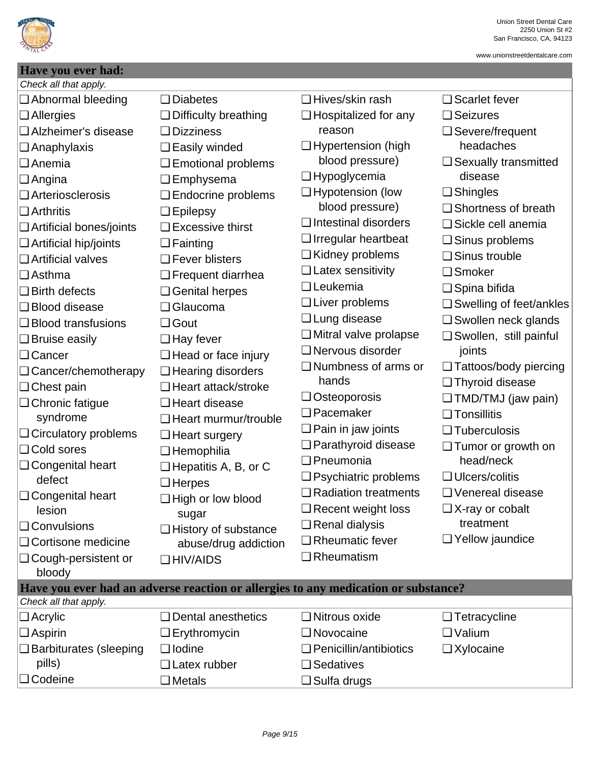

**Have you ever had:**

| Check all that apply.          |                                                                                    |                                |                                |
|--------------------------------|------------------------------------------------------------------------------------|--------------------------------|--------------------------------|
| □ Abnormal bleeding            | $\Box$ Diabetes                                                                    | $\Box$ Hives/skin rash         | $\Box$ Scarlet fever           |
| $\Box$ Allergies               | □ Difficulty breathing                                                             | □ Hospitalized for any         | □ Seizures                     |
| □ Alzheimer's disease          | $\Box$ Dizziness                                                                   | reason                         | $\Box$ Severe/frequent         |
| $\square$ Anaphylaxis          | □ Easily winded                                                                    | $\Box$ Hypertension (high      | headaches                      |
| □ Anemia                       | <b>Emotional problems</b>                                                          | blood pressure)                | □ Sexually transmitted         |
| $\Box$ Angina                  | $\Box$ Emphysema                                                                   | $\Box$ Hypoglycemia            | disease                        |
| $\Box$ Arteriosclerosis        | □ Endocrine problems                                                               | □ Hypotension (low             | $\Box$ Shingles                |
| $\Box$ Arthritis               | $\Box$ Epilepsy                                                                    | blood pressure)                | $\Box$ Shortness of breath     |
| $\Box$ Artificial bones/joints | $\Box$ Excessive thirst                                                            | $\Box$ Intestinal disorders    | $\Box$ Sickle cell anemia      |
| $\Box$ Artificial hip/joints   | $\Box$ Fainting                                                                    | $\Box$ Irregular heartbeat     | $\Box$ Sinus problems          |
| $\Box$ Artificial valves       | $\Box$ Fever blisters                                                              | $\Box$ Kidney problems         | □ Sinus trouble                |
| $\Box$ Asthma                  | $\Box$ Frequent diarrhea                                                           | $\Box$ Latex sensitivity       | □ Smoker                       |
| $\Box$ Birth defects           | Genital herpes                                                                     | $\Box$ Leukemia                | $\Box$ Spina bifida            |
| □ Blood disease                | □ Glaucoma                                                                         | $\Box$ Liver problems          | $\Box$ Swelling of feet/ankles |
| $\Box$ Blood transfusions      | $\Box$ Gout                                                                        | $\Box$ Lung disease            | Swollen neck glands            |
| $\Box$ Bruise easily           | $\Box$ Hay fever                                                                   | <b>I</b> Mitral valve prolapse | □ Swollen, still painful       |
| □ Cancer                       | Head or face injury                                                                | □ Nervous disorder             | joints                         |
| $\Box$ Cancer/chemotherapy     | $\Box$ Hearing disorders                                                           | $\Box$ Numbness of arms or     | □ Tattoos/body piercing        |
| $\square$ Chest pain           | $\Box$ Heart attack/stroke                                                         | hands                          | $\Box$ Thyroid disease         |
| □ Chronic fatigue              | $\Box$ Heart disease                                                               | $\Box$ Osteoporosis            | TMD/TMJ (jaw pain)             |
| syndrome                       | □ Heart murmur/trouble                                                             | □ Pacemaker                    | $\Box$ Tonsillitis             |
| $\Box$ Circulatory problems    | $\Box$ Heart surgery                                                               | $\Box$ Pain in jaw joints      | $\Box$ Tuberculosis            |
| □ Cold sores                   | □ Hemophilia                                                                       | □ Parathyroid disease          | $\Box$ Tumor or growth on      |
| $\Box$ Congenital heart        | $\Box$ Hepatitis A, B, or C                                                        | □ Pneumonia                    | head/neck                      |
| defect                         | $\Box$ Herpes                                                                      | □ Psychiatric problems         | $\Box$ Ulcers/colitis          |
| □ Congenital heart             | $\Box$ High or low blood                                                           | □ Radiation treatments         | □ Venereal disease             |
| lesion                         | sugar                                                                              | $\Box$ Recent weight loss      | $\Box$ X-ray or cobalt         |
| □ Convulsions                  | $\Box$ History of substance                                                        | $\Box$ Renal dialysis          | treatment                      |
| □ Cortisone medicine           | abuse/drug addiction                                                               | $\Box$ Rheumatic fever         | □ Yellow jaundice              |
| $\Box$ Cough-persistent or     | $\Box$ HIV/AIDS                                                                    | $\Box$ Rheumatism              |                                |
| bloody                         |                                                                                    |                                |                                |
| Check all that apply.          | Have you ever had an adverse reaction or allergies to any medication or substance? |                                |                                |
| $\Box$ Acrylic                 | $\Box$ Dental anesthetics                                                          | $\Box$ Nitrous oxide           | $\Box$ Tetracycline            |
| $\Box$ Aspirin                 | $\Box$ Erythromycin                                                                | □ Novocaine                    | $\Box$ Valium                  |
| □ Barbiturates (sleeping       | $\Box$ Iodine                                                                      | $\Box$ Penicillin/antibiotics  | $\Box$ Xylocaine               |
| pills)                         | $\Box$ Latex rubber                                                                | □ Sedatives                    |                                |
| □ Codeine                      | $\Box$ Metals                                                                      |                                |                                |
|                                |                                                                                    | $\Box$ Sulfa drugs             |                                |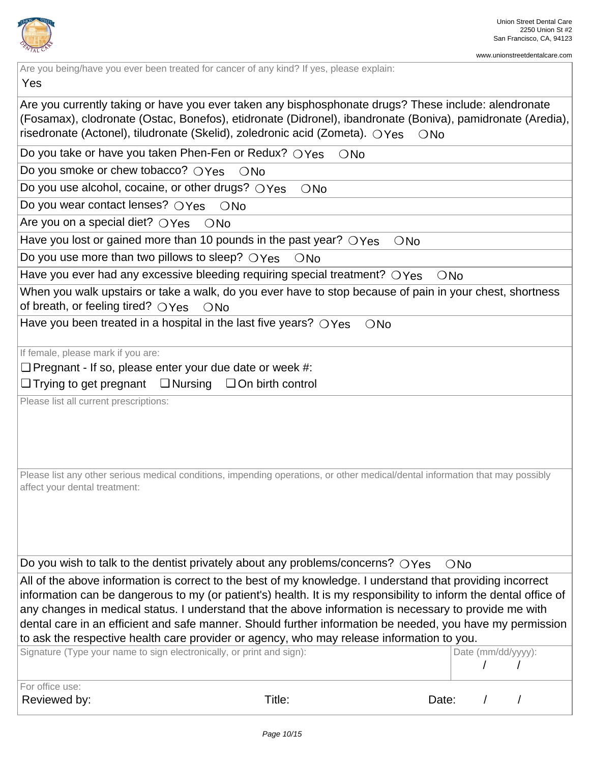

| OFNTAL CAR<br>www.unionstreetdentalcare.con                                                                                                                                                                                                                                                                                                                                                                                                           |
|-------------------------------------------------------------------------------------------------------------------------------------------------------------------------------------------------------------------------------------------------------------------------------------------------------------------------------------------------------------------------------------------------------------------------------------------------------|
| Are you being/have you ever been treated for cancer of any kind? If yes, please explain:                                                                                                                                                                                                                                                                                                                                                              |
| Yes                                                                                                                                                                                                                                                                                                                                                                                                                                                   |
| Are you currently taking or have you ever taken any bisphosphonate drugs? These include: alendronate<br>(Fosamax), clodronate (Ostac, Bonefos), etidronate (Didronel), ibandronate (Boniva), pamidronate (Aredia),<br>risedronate (Actonel), tiludronate (Skelid), zoledronic acid (Zometa). OYes<br>ONo                                                                                                                                              |
| Do you take or have you taken Phen-Fen or Redux? OYes<br>ONo                                                                                                                                                                                                                                                                                                                                                                                          |
| Do you smoke or chew tobacco? ○Yes<br>$\bigcirc$ No                                                                                                                                                                                                                                                                                                                                                                                                   |
| Do you use alcohol, cocaine, or other drugs? $\bigcirc$ Yes<br>ONo                                                                                                                                                                                                                                                                                                                                                                                    |
| Do you wear contact lenses? OYes<br>ONo                                                                                                                                                                                                                                                                                                                                                                                                               |
| Are you on a special diet? $\bigcirc$ Yes<br>$\bigcirc$ No                                                                                                                                                                                                                                                                                                                                                                                            |
| Have you lost or gained more than 10 pounds in the past year? $\bigcirc$ Yes<br>ONo                                                                                                                                                                                                                                                                                                                                                                   |
| Do you use more than two pillows to sleep? OYes<br>ONo                                                                                                                                                                                                                                                                                                                                                                                                |
| Have you ever had any excessive bleeding requiring special treatment? $\bigcirc$ Yes<br>ONo                                                                                                                                                                                                                                                                                                                                                           |
| When you walk upstairs or take a walk, do you ever have to stop because of pain in your chest, shortness<br>of breath, or feeling tired? $\bigcirc$ Yes<br>ONo                                                                                                                                                                                                                                                                                        |
| Have you been treated in a hospital in the last five years? $\bigcirc$ Yes<br>$\bigcirc$ No                                                                                                                                                                                                                                                                                                                                                           |
| If female, please mark if you are:<br>$\Box$ Pregnant - If so, please enter your due date or week #:                                                                                                                                                                                                                                                                                                                                                  |
| $\Box$ Trying to get pregnant $\Box$ Nursing<br>$\Box$ On birth control                                                                                                                                                                                                                                                                                                                                                                               |
| Please list all current prescriptions:                                                                                                                                                                                                                                                                                                                                                                                                                |
|                                                                                                                                                                                                                                                                                                                                                                                                                                                       |
| Please list any other serious medical conditions, impending operations, or other medical/dental information that may possibly<br>affect your dental treatment:                                                                                                                                                                                                                                                                                        |
|                                                                                                                                                                                                                                                                                                                                                                                                                                                       |
|                                                                                                                                                                                                                                                                                                                                                                                                                                                       |
| Do you wish to talk to the dentist privately about any problems/concerns? $\bigcirc$ Yes<br>$\bigcirc$ No                                                                                                                                                                                                                                                                                                                                             |
| All of the above information is correct to the best of my knowledge. I understand that providing incorrect<br>information can be dangerous to my (or patient's) health. It is my responsibility to inform the dental office of<br>any changes in medical status. I understand that the above information is necessary to provide me with<br>dental care in an efficient and safe manner. Should further information be needed, you have my permission |
| to ask the respective health care provider or agency, who may release information to you.                                                                                                                                                                                                                                                                                                                                                             |

Signature (Type your name to sign electronically, or print and sign): Date (mm/dd/yyyy): / / For office use: Reviewed by: Title: Title: Date: / /  $\overline{a}$ Date:  $\overline{a}$  $\sqrt{2}$  $\overline{\phantom{a}}$ 

03

 $\overline{\phantom{0}}$ 

03

 $\overline{\phantom{0}}$ 

2018

2016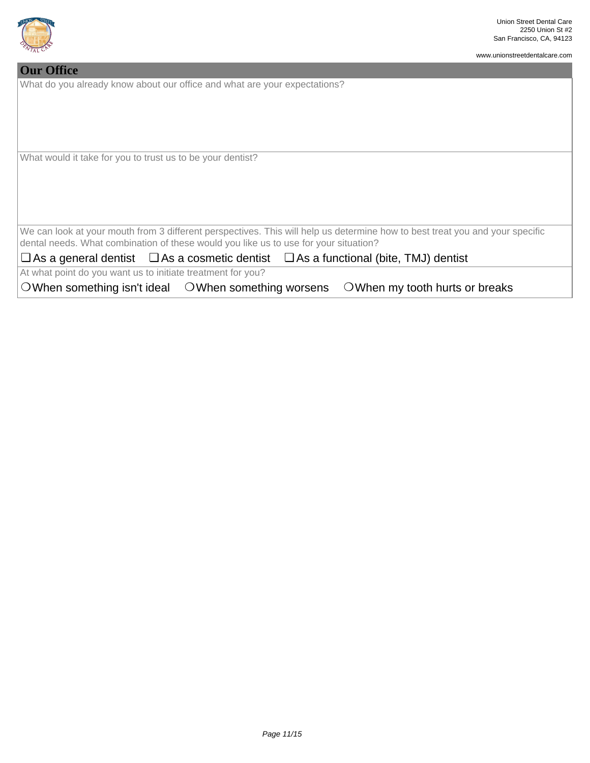

What do you already know about our office and what are your expectations?

What would it take for you to trust us to be your dentist?

We can look at your mouth from 3 different perspectives. This will help us determine how to best treat you and your specific dental needs. What combination of these would you like us to use for your situation?

**□ As a general dentist** □ As a cosmetic dentist □ As a functional (bite, TMJ) dentist

At what point do you want us to initiate treatment for you?

 $\bigcirc$  When something isn't ideal  $\bigcirc$  When something worsens  $\bigcirc$  When my tooth hurts or breaks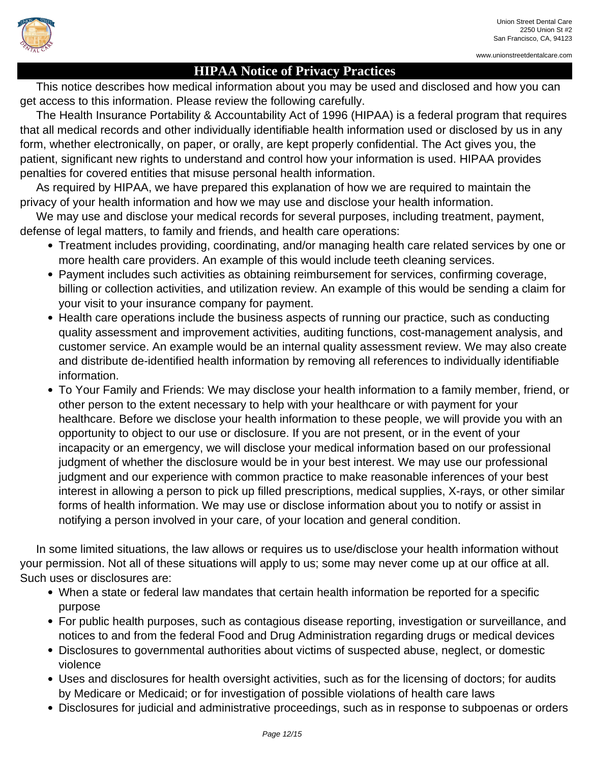

# **HIPAA Notice of Privacy Practices**

 This notice describes how medical information about you may be used and disclosed and how you can get access to this information. Please review the following carefully.

 The Health Insurance Portability & Accountability Act of 1996 (HIPAA) is a federal program that requires that all medical records and other individually identifiable health information used or disclosed by us in any form, whether electronically, on paper, or orally, are kept properly confidential. The Act gives you, the patient, significant new rights to understand and control how your information is used. HIPAA provides penalties for covered entities that misuse personal health information.

 As required by HIPAA, we have prepared this explanation of how we are required to maintain the privacy of your health information and how we may use and disclose your health information.

 We may use and disclose your medical records for several purposes, including treatment, payment, defense of legal matters, to family and friends, and health care operations:

- Treatment includes providing, coordinating, and/or managing health care related services by one or more health care providers. An example of this would include teeth cleaning services.
- Payment includes such activities as obtaining reimbursement for services, confirming coverage, billing or collection activities, and utilization review. An example of this would be sending a claim for your visit to your insurance company for payment.
- Health care operations include the business aspects of running our practice, such as conducting quality assessment and improvement activities, auditing functions, cost-management analysis, and customer service. An example would be an internal quality assessment review. We may also create and distribute de-identified health information by removing all references to individually identifiable information.
- To Your Family and Friends: We may disclose your health information to a family member, friend, or other person to the extent necessary to help with your healthcare or with payment for your healthcare. Before we disclose your health information to these people, we will provide you with an opportunity to object to our use or disclosure. If you are not present, or in the event of your incapacity or an emergency, we will disclose your medical information based on our professional judgment of whether the disclosure would be in your best interest. We may use our professional judgment and our experience with common practice to make reasonable inferences of your best interest in allowing a person to pick up filled prescriptions, medical supplies, X-rays, or other similar forms of health information. We may use or disclose information about you to notify or assist in notifying a person involved in your care, of your location and general condition.

 In some limited situations, the law allows or requires us to use/disclose your health information without your permission. Not all of these situations will apply to us; some may never come up at our office at all. Such uses or disclosures are:

- When a state or federal law mandates that certain health information be reported for a specific purpose
- For public health purposes, such as contagious disease reporting, investigation or surveillance, and notices to and from the federal Food and Drug Administration regarding drugs or medical devices
- Disclosures to governmental authorities about victims of suspected abuse, neglect, or domestic violence
- Uses and disclosures for health oversight activities, such as for the licensing of doctors; for audits by Medicare or Medicaid; or for investigation of possible violations of health care laws
- Disclosures for judicial and administrative proceedings, such as in response to subpoenas or orders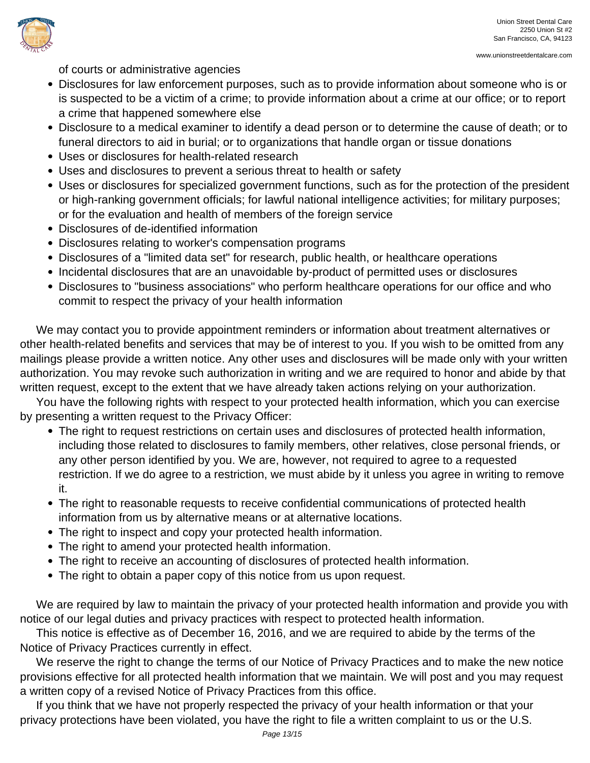

of courts or administrative agencies

- Disclosures for law enforcement purposes, such as to provide information about someone who is or is suspected to be a victim of a crime; to provide information about a crime at our office; or to report a crime that happened somewhere else
- Disclosure to a medical examiner to identify a dead person or to determine the cause of death; or to funeral directors to aid in burial; or to organizations that handle organ or tissue donations
- Uses or disclosures for health-related research
- Uses and disclosures to prevent a serious threat to health or safety
- Uses or disclosures for specialized government functions, such as for the protection of the president or high-ranking government officials; for lawful national intelligence activities; for military purposes; or for the evaluation and health of members of the foreign service
- Disclosures of de-identified information
- Disclosures relating to worker's compensation programs
- Disclosures of a "limited data set" for research, public health, or healthcare operations
- Incidental disclosures that are an unavoidable by-product of permitted uses or disclosures
- Disclosures to "business associations" who perform healthcare operations for our office and who commit to respect the privacy of your health information

 We may contact you to provide appointment reminders or information about treatment alternatives or other health-related benefits and services that may be of interest to you. If you wish to be omitted from any mailings please provide a written notice. Any other uses and disclosures will be made only with your written authorization. You may revoke such authorization in writing and we are required to honor and abide by that written request, except to the extent that we have already taken actions relying on your authorization.

 You have the following rights with respect to your protected health information, which you can exercise by presenting a written request to the Privacy Officer:

- The right to request restrictions on certain uses and disclosures of protected health information, including those related to disclosures to family members, other relatives, close personal friends, or any other person identified by you. We are, however, not required to agree to a requested restriction. If we do agree to a restriction, we must abide by it unless you agree in writing to remove it.
- The right to reasonable requests to receive confidential communications of protected health information from us by alternative means or at alternative locations.
- The right to inspect and copy your protected health information.
- The right to amend your protected health information.
- The right to receive an accounting of disclosures of protected health information.
- The right to obtain a paper copy of this notice from us upon request.

We are required by law to maintain the privacy of your protected health information and provide you with notice of our legal duties and privacy practices with respect to protected health information.

 This notice is effective as of December 16, 2016, and we are required to abide by the terms of the Notice of Privacy Practices currently in effect.

 We reserve the right to change the terms of our Notice of Privacy Practices and to make the new notice provisions effective for all protected health information that we maintain. We will post and you may request a written copy of a revised Notice of Privacy Practices from this office.

 If you think that we have not properly respected the privacy of your health information or that your privacy protections have been violated, you have the right to file a written complaint to us or the U.S.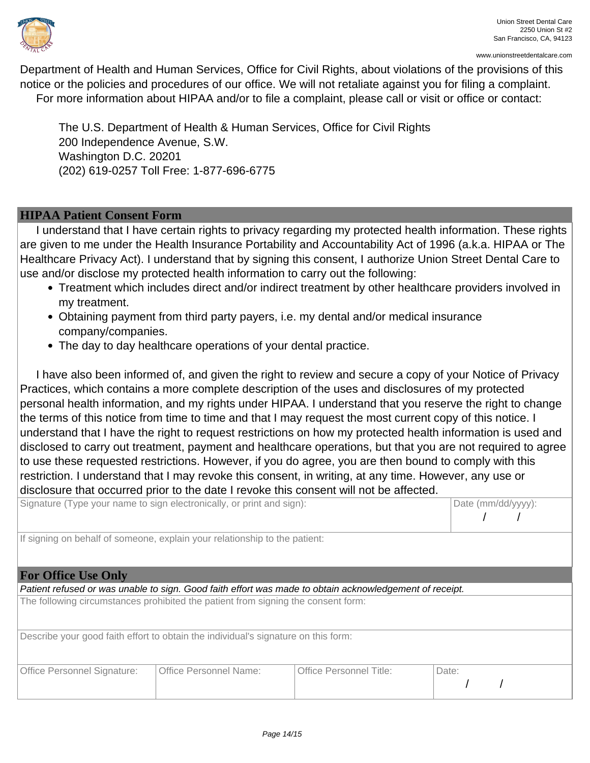

Department of Health and Human Services, Office for Civil Rights, about violations of the provisions of this notice or the policies and procedures of our office. We will not retaliate against you for filing a complaint. For more information about HIPAA and/or to file a complaint, please call or visit or office or contact:

The U.S. Department of Health & Human Services, Office for Civil Rights 200 Independence Avenue, S.W. Washington D.C. 20201 (202) 619-0257 Toll Free: 1-877-696-6775

# **HIPAA Patient Consent Form**

 I understand that I have certain rights to privacy regarding my protected health information. These rights are given to me under the Health Insurance Portability and Accountability Act of 1996 (a.k.a. HIPAA or The Healthcare Privacy Act). I understand that by signing this consent, I authorize Union Street Dental Care to use and/or disclose my protected health information to carry out the following:

- Treatment which includes direct and/or indirect treatment by other healthcare providers involved in my treatment.
- Obtaining payment from third party payers, i.e. my dental and/or medical insurance company/companies.
- The day to day healthcare operations of your dental practice.

 I have also been informed of, and given the right to review and secure a copy of your Notice of Privacy Practices, which contains a more complete description of the uses and disclosures of my protected personal health information, and my rights under HIPAA. I understand that you reserve the right to change the terms of this notice from time to time and that I may request the most current copy of this notice. I understand that I have the right to request restrictions on how my protected health information is used and disclosed to carry out treatment, payment and healthcare operations, but that you are not required to agree to use these requested restrictions. However, if you do agree, you are then bound to comply with this restriction. I understand that I may revoke this consent, in writing, at any time. However, any use or disclosure that occurred prior to the date I revoke this consent will not be affected.

| Signature (Type your name to sign electronically, or print and sign):                                   |                               |                                | Date (mm/dd/yyyy): |  |
|---------------------------------------------------------------------------------------------------------|-------------------------------|--------------------------------|--------------------|--|
| If signing on behalf of someone, explain your relationship to the patient:                              |                               |                                |                    |  |
| <b>For Office Use Only</b>                                                                              |                               |                                |                    |  |
| Patient refused or was unable to sign. Good faith effort was made to obtain acknowledgement of receipt. |                               |                                |                    |  |
| The following circumstances prohibited the patient from signing the consent form:                       |                               |                                |                    |  |
| Describe your good faith effort to obtain the individual's signature on this form:                      |                               |                                |                    |  |
| <b>Office Personnel Signature:</b>                                                                      | <b>Office Personnel Name:</b> | <b>Office Personnel Title:</b> | Date:              |  |